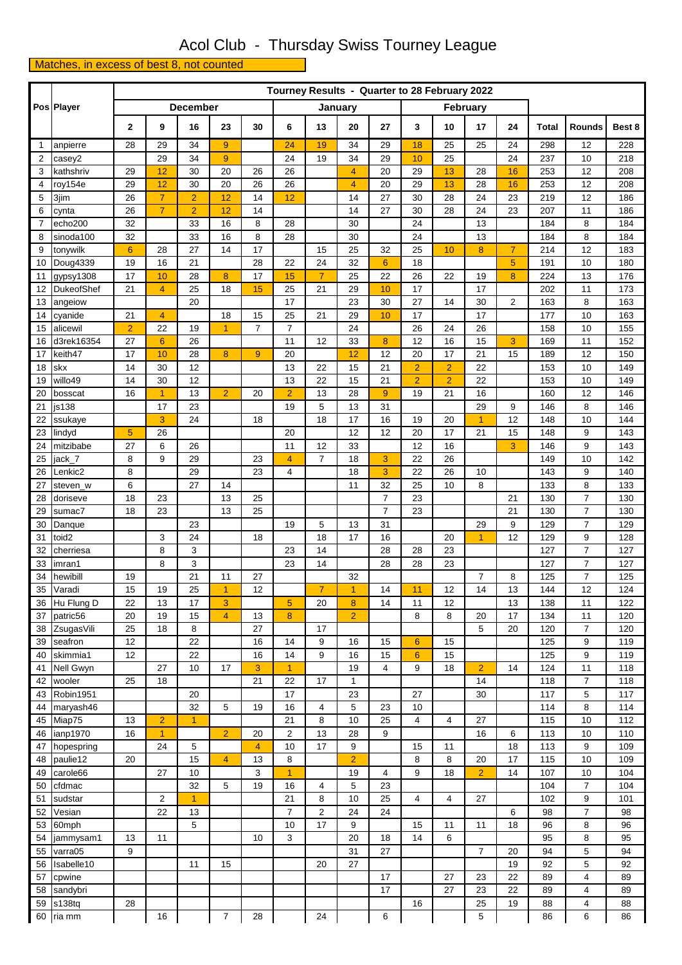## Acol Club - Thursday Swiss Tourney League

Matches, in excess of best 8, not counted

|              | Pos Player          |                | Tourney Results - Quarter to 28 February 2022 |                 |                |                |                     |                |                |                      |                |                |                |                |            |                     |            |
|--------------|---------------------|----------------|-----------------------------------------------|-----------------|----------------|----------------|---------------------|----------------|----------------|----------------------|----------------|----------------|----------------|----------------|------------|---------------------|------------|
|              |                     |                |                                               | <b>December</b> |                |                | January<br>February |                |                |                      |                |                |                |                |            |                     |            |
|              |                     | 2              | 9                                             | 16              | 23             | 30             | 6                   | 13             | 20             | 27                   | 3              | 10             | 17             | 24             | Total      | Rounds              | Best 8     |
| $\mathbf{1}$ | anpierre            | 28             | 29                                            | 34              | 9              |                | 24                  | 19             | 34             | 29                   | 18             | 25             | 25             | 24             | 298        | 12                  | 228        |
| 2            | casey2              |                | 29                                            | 34              | 9              |                | 24                  | 19             | 34             | 29                   | 10             | 25             |                | 24             | 237        | 10                  | 218        |
| 3            | kathshriv           | 29             | 12                                            | 30              | 20             | 26             | 26                  |                | 4              | 20                   | 29             | 13             | 28             | 16             | 253        | 12                  | 208        |
| 4            | roy154e             | 29             | 12                                            | 30              | 20             | 26             | 26                  |                | $\overline{4}$ | 20                   | 29             | 13             | 28             | 16             | 253        | 12                  | 208        |
| 5            | 3jim                | 26             | $\overline{7}$                                | $\overline{2}$  | 12             | 14             | 12                  |                | 14             | 27                   | 30             | 28             | 24             | 23             | 219        | 12                  | 186        |
| 6            | cynta               | 26             | $\overline{7}$                                | $\overline{2}$  | 12             | 14             |                     |                | 14             | 27                   | 30             | 28             | 24             | 23             | 207        | 11                  | 186        |
| 7            | echo200             | 32             |                                               | 33              | 16             | 8              | 28                  |                | 30             |                      | 24             |                | 13             |                | 184        | 8                   | 184        |
| 8            | sinoda100           | 32             |                                               | 33              | 16             | 8              | 28                  |                | 30             |                      | 24             |                | 13             |                | 184        | 8                   | 184        |
| 9            | tonywilk            | $6\phantom{1}$ | 28                                            | 27              | 14             | 17             |                     | 15             | 25             | 32                   | 25             | 10             | 8              | $\overline{7}$ | 214        | 12                  | 183        |
| 10           | Doug4339            | 19             | 16                                            | 21              |                | 28             | 22                  | 24             | 32             | $6\phantom{1}$       | 18             |                |                | 5              | 191        | 10                  | 180        |
| 11           | gypsy1308           | 17             | 10                                            | 28              | 8              | 17             | 15                  | $\overline{7}$ | 25             | 22                   | 26             | 22             | 19             | 8              | 224        | 13                  | 176        |
| 12           | <b>DukeofShef</b>   | 21             | $\overline{4}$                                | 25              | 18             | 15             | 25                  | 21             | 29             | 10                   | 17             |                | 17             |                | 202        | 11                  | 173        |
| 13<br>14     | angeiow             | 21             | $\overline{4}$                                | 20              | 18             | 15             | 17<br>25            | 21             | 23<br>29       | 30<br>10             | 27<br>17       | 14             | 30<br>17       | $\overline{2}$ | 163<br>177 | 8<br>10             | 163<br>163 |
| 15           | cyanide<br>alicewil | $\overline{2}$ | 22                                            | 19              | 1              | $\overline{7}$ | $\overline{7}$      |                | 24             |                      | 26             | 24             | 26             |                | 158        | 10                  | 155        |
| 16           | d3rek16354          | 27             | 6                                             | 26              |                |                | 11                  | 12             | 33             | 8                    | 12             | 16             | 15             | 3              | 169        | 11                  | 152        |
| 17           | keith47             | 17             | 10                                            | 28              | 8              | 9              | 20                  |                | 12             | 12                   | 20             | 17             | 21             | 15             | 189        | 12                  | 150        |
| 18           | skx                 | 14             | 30                                            | 12              |                |                | 13                  | 22             | 15             | 21                   | $\overline{2}$ | $\overline{2}$ | 22             |                | 153        | 10                  | 149        |
| 19           | willo49             | 14             | 30                                            | 12              |                |                | 13                  | 22             | 15             | 21                   | $\overline{2}$ | $\overline{2}$ | 22             |                | 153        | 10                  | 149        |
| 20           | bosscat             | 16             | 1                                             | 13              | $\overline{2}$ | 20             | $\overline{2}$      | 13             | 28             | 9                    | 19             | 21             | 16             |                | 160        | 12                  | 146        |
| 21           | js138               |                | 17                                            | 23              |                |                | 19                  | 5              | 13             | 31                   |                |                | 29             | 9              | 146        | 8                   | 146        |
| 22           | ssukaye             |                | 3                                             | 24              |                | 18             |                     | 18             | 17             | 16                   | 19             | 20             | 1              | 12             | 148        | 10                  | 144        |
| 23           | lindyd              | 5              | 26                                            |                 |                |                | 20                  |                | 12             | 12                   | 20             | 17             | 21             | 15             | 148        | 9                   | 143        |
| 24           | mitzibabe           | 27             | 6                                             | 26              |                |                | 11                  | 12             | 33             |                      | 12             | 16             |                | 3              | 146        | 9                   | 143        |
| 25           | jack_7              | 8              | 9                                             | 29              |                | 23             | $\overline{4}$      | $\overline{7}$ | 18             | 3                    | 22             | 26             |                |                | 149        | 10                  | 142        |
| 26           | Lenkic2             | 8              |                                               | 29              |                | 23             | $\overline{4}$      |                | 18             | 3                    | 22             | 26             | 10             |                | 143        | 9                   | 140        |
| 27           | steven_w            | 6              |                                               | 27              | 14             |                |                     |                | 11             | 32                   | 25             | 10             | 8              |                | 133        | 8                   | 133        |
| 28           | doriseve            | 18             | 23                                            |                 | 13             | 25             |                     |                |                | $\overline{7}$       | 23             |                |                | 21             | 130        | $\overline{7}$      | 130        |
| 29           | sumac7              | 18             | 23                                            | 23              | 13             | 25             | 19                  |                | 13             | $\overline{7}$<br>31 | 23             |                | 29             | 21             | 130<br>129 | 7<br>$\overline{7}$ | 130<br>129 |
| 30<br>31     | Danque<br>toid2     |                | 3                                             | 24              |                | 18             |                     | 5<br>18        | 17             | 16                   |                | 20             | $\overline{1}$ | 9<br>12        | 129        | 9                   | 128        |
| 32           | cherriesa           |                | 8                                             | 3               |                |                | 23                  | 14             |                | 28                   | 28             | 23             |                |                | 127        | 7                   | 127        |
| 33           | imran1              |                | 8                                             | 3               |                |                | 23                  | 14             |                | 28                   | 28             | 23             |                |                | 127        | $\overline{7}$      | 127        |
| 34           | hewibill            | 19             |                                               | 21              | 11             | 27             |                     |                | 32             |                      |                |                | $\overline{7}$ | 8              | 125        | 7                   | 125        |
| 35           | Varadi              | 15             | 19                                            | 25              | 1              | 12             |                     | $\overline{7}$ | $\overline{1}$ | 14                   | 11             | 12             | 14             | 13             | 144        | 12                  | 124        |
| 36           | Hu Flung D          | 22             | 13                                            | 17              | 3              |                | 5                   | 20             | 8              | 14                   | 11             | 12             |                | 13             | 138        | 11                  | 122        |
| 37           | patric56            | 20             | 19                                            | 15              | $\overline{4}$ | 13             | 8                   |                | $\overline{2}$ |                      | 8              | 8              | 20             | 17             | 134        | 11                  | 120        |
| 38           | ZsugasVili          | 25             | 18                                            | 8               |                | 27             |                     | 17             |                |                      |                |                | 5              | 20             | 120        | $\overline{7}$      | 120        |
| 39           | seafron             | 12             |                                               | 22              |                | 16             | 14                  | 9              | 16             | 15                   | $6\phantom{a}$ | 15             |                |                | 125        | 9                   | 119        |
| 40           | skimmia1            | 12             |                                               | 22              |                | 16             | 14                  | 9              | 16             | 15                   | $6\phantom{a}$ | 15             |                |                | 125        | 9                   | 119        |
| 41           | Nell Gwyn           |                | 27                                            | 10              | 17             | 3              | $\overline{1}$      |                | 19             | 4                    | 9              | 18             | $\overline{2}$ | 14             | 124        | 11                  | 118        |
| 42           | wooler              | 25             | 18                                            |                 |                | 21             | 22                  | 17             | 1              |                      |                |                | 14             |                | 118        | $\overline{7}$      | 118        |
| 43           | Robin1951           |                |                                               | 20              |                |                | 17                  |                | 23             |                      | 27             |                | 30             |                | 117        | 5                   | 117        |
| 44           | maryash46           | 13             |                                               | 32              | 5              | 19             | 16<br>21            | 4              | 5              | 23                   | 10             |                | 27             |                | 114        | 8                   | 114        |
| 45<br>46     | Miap75<br>ianp1970  | 16             | $\overline{2}$<br>$\mathbf{1}$                | $\overline{1}$  | $\overline{2}$ | 20             | 2                   | 8<br>13        | 10<br>28       | 25<br>9              | 4              | $\overline{4}$ | 16             | 6              | 115<br>113 | 10<br>10            | 112<br>110 |
| 47           | hopespring          |                | 24                                            | 5               |                | $\overline{4}$ | 10                  | 17             | 9              |                      | 15             | 11             |                | 18             | 113        | 9                   | 109        |
| 48           | paulie12            | 20             |                                               | 15              | $\overline{4}$ | 13             | 8                   |                | $\overline{2}$ |                      | 8              | 8              | 20             | 17             | 115        | 10                  | 109        |
| 49           | carole66            |                | 27                                            | 10              |                | 3              | $\overline{1}$      |                | 19             | 4                    | 9              | 18             | $\overline{2}$ | 14             | 107        | 10                  | 104        |
| 50           | cfdmac              |                |                                               | 32              | 5              | 19             | 16                  | 4              | 5              | 23                   |                |                |                |                | 104        | $\overline{7}$      | 104        |
| 51           | sudstar             |                | $\overline{2}$                                | $\overline{1}$  |                |                | 21                  | 8              | 10             | 25                   | $\overline{4}$ | $\overline{4}$ | 27             |                | 102        | 9                   | 101        |
| 52           | Vesian              |                | 22                                            | 13              |                |                | $\overline{7}$      | $\overline{2}$ | 24             | 24                   |                |                |                | 6              | 98         | 7                   | 98         |
| 53           | 60mph               |                |                                               | 5               |                |                | 10                  | 17             | 9              |                      | 15             | 11             | 11             | 18             | 96         | 8                   | 96         |
| 54           | jammysam1           | 13             | 11                                            |                 |                | 10             | 3                   |                | 20             | 18                   | 14             | 6              |                |                | 95         | 8                   | 95         |
| 55           | varra05             | 9              |                                               |                 |                |                |                     |                | 31             | 27                   |                |                | $\overline{7}$ | 20             | 94         | 5                   | 94         |
| 56           | Isabelle10          |                |                                               | 11              | 15             |                |                     | 20             | 27             |                      |                |                |                | 19             | 92         | 5                   | 92         |
| 57           | cpwine              |                |                                               |                 |                |                |                     |                |                | 17                   |                | 27             | 23             | 22             | 89         | 4                   | 89         |
| 58           | sandybri            |                |                                               |                 |                |                |                     |                |                | 17                   |                | 27             | 23             | 22             | 89         | 4                   | 89         |
| 59           | s138tq              | 28             |                                               |                 |                |                |                     |                |                |                      | 16             |                | 25             | 19             | 88         | 4                   | 88         |
| 60           | ria mm              |                | 16                                            |                 | $\overline{7}$ | 28             |                     | 24             |                | 6                    |                |                | 5              |                | 86         | 6                   | 86         |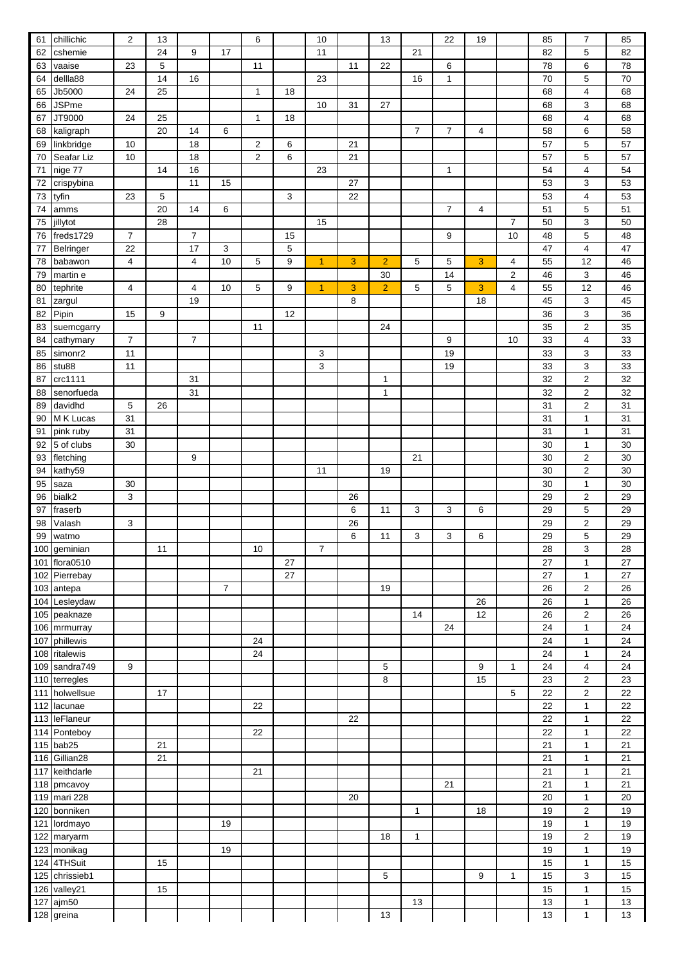| 61  | chillichic                 | $\boldsymbol{2}$        | 13 |                |                | 6              |    | 10             |    | 13             |                | 22             | 19             |                | 85 | $\overline{7}$            | 85 |
|-----|----------------------------|-------------------------|----|----------------|----------------|----------------|----|----------------|----|----------------|----------------|----------------|----------------|----------------|----|---------------------------|----|
| 62  | cshemie                    |                         | 24 | 9              | 17             |                |    | 11             |    |                | 21             |                |                |                | 82 | 5                         | 82 |
| 63  | vaaise                     | 23                      | 5  |                |                | 11             |    |                | 11 | 22             |                | 6              |                |                | 78 | 6                         | 78 |
| 64  | dellla88                   |                         | 14 | 16             |                |                |    | 23             |    |                | 16             | 1              |                |                | 70 | 5                         | 70 |
| 65  | Jb5000                     | 24                      | 25 |                |                | $\mathbf{1}$   | 18 |                |    |                |                |                |                |                | 68 | $\overline{\mathbf{4}}$   | 68 |
| 66  | <b>JSPme</b>               |                         |    |                |                |                |    | 10             | 31 | 27             |                |                |                |                | 68 | 3                         | 68 |
| 67  | JT9000                     | 24                      | 25 |                |                | $\mathbf{1}$   | 18 |                |    |                |                |                |                |                | 68 | $\overline{\mathbf{4}}$   | 68 |
| 68  | kaligraph                  |                         | 20 | 14             | 6              |                |    |                |    |                | $\overline{7}$ | 7              | $\overline{4}$ |                | 58 | 6                         | 58 |
|     |                            |                         |    |                |                |                |    |                | 21 |                |                |                |                |                |    |                           |    |
| 69  | linkbridge                 | 10                      |    | 18             |                | $\overline{2}$ | 6  |                |    |                |                |                |                |                | 57 | 5                         | 57 |
| 70  | Seafar Liz                 | 10                      |    | 18             |                | $\overline{c}$ | 6  |                | 21 |                |                |                |                |                | 57 | 5                         | 57 |
| 71  | nige 77                    |                         | 14 | 16             |                |                |    | 23             |    |                |                | 1              |                |                | 54 | $\overline{4}$            | 54 |
| 72  | crispybina                 |                         |    | 11             | 15             |                |    |                | 27 |                |                |                |                |                | 53 | 3                         | 53 |
| 73  | tyfin                      | 23                      | 5  |                |                |                | 3  |                | 22 |                |                |                |                |                | 53 | $\overline{4}$            | 53 |
| 74  | amms                       |                         | 20 | 14             | 6              |                |    |                |    |                |                | $\overline{7}$ | $\overline{4}$ |                | 51 | 5                         | 51 |
| 75  | jillytot                   |                         | 28 |                |                |                |    | 15             |    |                |                |                |                | $\overline{7}$ | 50 | 3                         | 50 |
| 76  | freds1729                  | $\overline{7}$          |    | $\overline{7}$ |                |                | 15 |                |    |                |                | 9              |                | 10             | 48 | 5                         | 48 |
| 77  | Belringer                  | 22                      |    | 17             | 3              |                | 5  |                |    |                |                |                |                |                | 47 | $\overline{\mathbf{4}}$   | 47 |
| 78  | babawon                    | 4                       |    | 4              | 10             | 5              | 9  | $\overline{1}$ | 3  | $\overline{2}$ | 5              | 5              | 3              | 4              | 55 | 12                        | 46 |
| 79  | martin e                   |                         |    |                |                |                |    |                |    | 30             |                | 14             |                | $\overline{c}$ | 46 | 3                         | 46 |
| 80  | tephrite                   | $\overline{\mathbf{4}}$ |    | $\overline{4}$ | 10             | 5              | 9  | 1              | 3  | $\overline{2}$ | 5              | 5              | 3              | 4              | 55 | 12                        | 46 |
| 81  |                            |                         |    | 19             |                |                |    |                | 8  |                |                |                | 18             |                | 45 | 3                         | 45 |
| 82  | zargul<br>Pipin            | 15                      | 9  |                |                |                | 12 |                |    |                |                |                |                |                | 36 | $\ensuremath{\mathsf{3}}$ | 36 |
|     |                            |                         |    |                |                | 11             |    |                |    | 24             |                |                |                |                | 35 | $\overline{2}$            | 35 |
| 83  | suemcgarry                 |                         |    |                |                |                |    |                |    |                |                |                |                |                |    |                           |    |
| 84  | cathymary                  | $\overline{7}$          |    | $\overline{7}$ |                |                |    |                |    |                |                | 9              |                | 10             | 33 | $\overline{\mathbf{4}}$   | 33 |
| 85  | simonr <sub>2</sub>        | 11                      |    |                |                |                |    | 3              |    |                |                | 19             |                |                | 33 | 3                         | 33 |
| 86  | stu88                      | 11                      |    |                |                |                |    | 3              |    |                |                | 19             |                |                | 33 | $\ensuremath{\mathsf{3}}$ | 33 |
| 87  | crc1111                    |                         |    | 31             |                |                |    |                |    | 1              |                |                |                |                | 32 | $\overline{2}$            | 32 |
| 88  | senorfueda                 |                         |    | 31             |                |                |    |                |    | $\mathbf{1}$   |                |                |                |                | 32 | $\boldsymbol{2}$          | 32 |
| 89  | davidhd                    | 5                       | 26 |                |                |                |    |                |    |                |                |                |                |                | 31 | $\overline{2}$            | 31 |
| 90  | M K Lucas                  | 31                      |    |                |                |                |    |                |    |                |                |                |                |                | 31 | $\mathbf{1}$              | 31 |
| 91  | pink ruby                  | 31                      |    |                |                |                |    |                |    |                |                |                |                |                | 31 | $\mathbf{1}$              | 31 |
| 92  | 5 of clubs                 | 30                      |    |                |                |                |    |                |    |                |                |                |                |                | 30 | $\mathbf{1}$              | 30 |
| 93  | fletching                  |                         |    | 9              |                |                |    |                |    |                | 21             |                |                |                | 30 | $\overline{2}$            | 30 |
| 94  | kathy59                    |                         |    |                |                |                |    | 11             |    | 19             |                |                |                |                | 30 | $\overline{2}$            | 30 |
| 95  | saza                       | 30                      |    |                |                |                |    |                |    |                |                |                |                |                | 30 | $\mathbf{1}$              | 30 |
|     | bialk2                     | 3                       |    |                |                |                |    |                | 26 |                |                |                |                |                | 29 | $\overline{2}$            | 29 |
| 96  |                            |                         |    |                |                |                |    |                |    |                |                |                |                |                |    |                           |    |
| 97  | fraserb                    |                         |    |                |                |                |    |                | 6  | 11             | 3              | 3              | 6              |                | 29 | 5                         | 29 |
| 98  | Valash                     | 3                       |    |                |                |                |    |                | 26 |                |                |                |                |                | 29 | $\boldsymbol{2}$          | 29 |
| 99  | watmo                      |                         |    |                |                |                |    |                | 6  | 11             | 3              | 3              | 6              |                | 29 | 5                         | 29 |
|     | 100 geminian               |                         | 11 |                |                | 10             |    | 7              |    |                |                |                |                |                | 28 | 3                         | 28 |
|     | 101 flora0510              |                         |    |                |                |                | 27 |                |    |                |                |                |                |                | 27 | $\mathbf{1}$              | 27 |
|     | 102 Pierrebay              |                         |    |                |                |                | 27 |                |    |                |                |                |                |                | 27 | $\mathbf{1}$              | 27 |
|     | 103 antepa                 |                         |    |                | $\overline{7}$ |                |    |                |    | 19             |                |                |                |                | 26 | $\boldsymbol{2}$          | 26 |
|     | 104 Lesleydaw              |                         |    |                |                |                |    |                |    |                |                |                | 26             |                | 26 | $\mathbf{1}$              | 26 |
|     | 105 peaknaze               |                         |    |                |                |                |    |                |    |                | 14             |                | 12             |                | 26 | $\boldsymbol{2}$          | 26 |
|     | 106 mrmurray               |                         |    |                |                |                |    |                |    |                |                | 24             |                |                | 24 | $\mathbf{1}$              | 24 |
| 107 | phillewis                  |                         |    |                |                | 24             |    |                |    |                |                |                |                |                | 24 | $\mathbf{1}$              | 24 |
|     | $\overline{108}$ ritalewis |                         |    |                |                | 24             |    |                |    |                |                |                |                |                | 24 | $\mathbf{1}$              | 24 |
|     | 109 sandra749              | 9                       |    |                |                |                |    |                |    | 5              |                |                | 9              | 1              | 24 | 4                         | 24 |
|     |                            |                         |    |                |                |                |    |                |    | 8              |                |                | 15             |                | 23 | $\overline{c}$            | 23 |
|     | 110 terregles              |                         |    |                |                |                |    |                |    |                |                |                |                |                |    |                           |    |
| 111 | holwellsue                 |                         | 17 |                |                |                |    |                |    |                |                |                |                | 5              | 22 | $\boldsymbol{2}$          | 22 |
|     | 112 lacunae                |                         |    |                |                | 22             |    |                |    |                |                |                |                |                | 22 | $\mathbf{1}$              | 22 |
|     | 113 leFlaneur              |                         |    |                |                |                |    |                | 22 |                |                |                |                |                | 22 | $\mathbf{1}$              | 22 |
|     | 114 Ponteboy               |                         |    |                |                | 22             |    |                |    |                |                |                |                |                | 22 | $\mathbf{1}$              | 22 |
|     | 115 bab25                  |                         | 21 |                |                |                |    |                |    |                |                |                |                |                | 21 | $\mathbf{1}$              | 21 |
|     | 116 Gillian28              |                         | 21 |                |                |                |    |                |    |                |                |                |                |                | 21 | $\mathbf{1}$              | 21 |
| 117 | keithdarle                 |                         |    |                |                | 21             |    |                |    |                |                |                |                |                | 21 | $\mathbf{1}$              | 21 |
|     | 118 pmcavoy                |                         |    |                |                |                |    |                |    |                |                | 21             |                |                | 21 | $\mathbf{1}$              | 21 |
|     | 119 mari 228               |                         |    |                |                |                |    |                | 20 |                |                |                |                |                | 20 | $\mathbf{1}$              | 20 |
| 120 | bonniken                   |                         |    |                |                |                |    |                |    |                | $\mathbf{1}$   |                | 18             |                | 19 | $\boldsymbol{2}$          | 19 |
| 121 | lordmayo                   |                         |    |                | 19             |                |    |                |    |                |                |                |                |                | 19 | $\mathbf{1}$              | 19 |
|     | 122 maryarm                |                         |    |                |                |                |    |                |    | 18             | $\mathbf{1}$   |                |                |                | 19 | $\boldsymbol{2}$          | 19 |
|     |                            |                         |    |                |                |                |    |                |    |                |                |                |                |                |    |                           |    |
|     | 123 monikag                |                         |    |                | 19             |                |    |                |    |                |                |                |                |                | 19 | $\mathbf{1}$              | 19 |
|     | 124 4THSuit                |                         | 15 |                |                |                |    |                |    |                |                |                |                |                | 15 | $\mathbf{1}$              | 15 |
|     | 125 chrissieb1             |                         |    |                |                |                |    |                |    | 5              |                |                | 9              | 1              | 15 | 3                         | 15 |
|     | 126 valley21               |                         | 15 |                |                |                |    |                |    |                |                |                |                |                | 15 | $\mathbf{1}$              | 15 |
| 127 | ajm50                      |                         |    |                |                |                |    |                |    |                | 13             |                |                |                | 13 | $\mathbf{1}$              | 13 |
|     | 128 greina                 |                         |    |                |                |                |    |                |    | 13             |                |                |                |                | 13 | $\mathbf{1}$              | 13 |